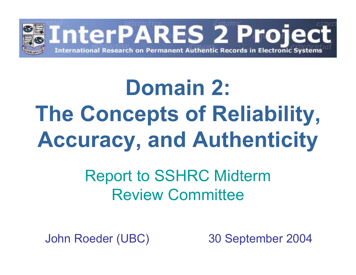

# **Domain 2: The Concepts of Reliability, Accuracy, and Authenticity**

#### Report to SSHRC Midterm Review Committee

John Roeder (UBC) 30 September 2004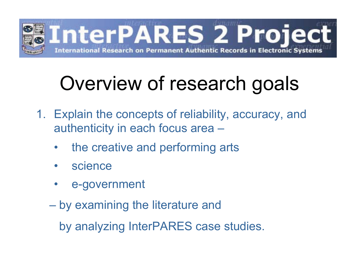

# Overview of research goals

- 1. Explain the concepts of reliability, accuracy, and authenticity in each focus area –
	- $\bullet$ the creative and performing arts
	- $\bullet$ science
	- •e-government
	- $\mathcal{L}_{\mathcal{A}}$  , and the set of the set of the set of the set of the set of the set of the set of the set of the set of the set of the set of the set of the set of the set of the set of the set of the set of the set of th by examining the literature and

by analyzing InterPARES case studies.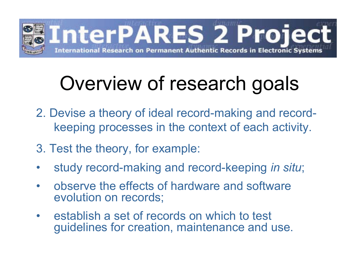

## Overview of research goals

- 2. Devise a theory of ideal record-making and recordkeeping processes in the context of each activity.
- 3. Test the theory, for example:
- $\bullet$ study record-making and record-keeping *in situ*;
- $\bullet$  observe the effects of hardware and software evolution on records;
- $\bullet$  establish a set of records on which to test guidelines for creation, maintenance and use.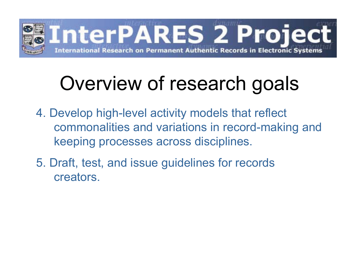

### Overview of research goals

- 4. Develop high-level activity models that reflect commonalities and variations in record-making and keeping processes across disciplines.
- 5. Draft, test, and issue guidelines for records creators.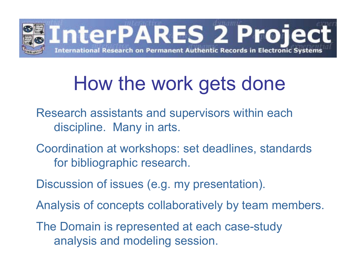

#### How the work gets done

- Research assistants and supervisors within each discipline. Many in arts.
- Coordination at workshops: set deadlines, standards for bibliographic research.
- Discussion of issues (e.g. my presentation).
- Analysis of concepts collaboratively by team members.
- The Domain is represented at each case-study analysis and modeling session.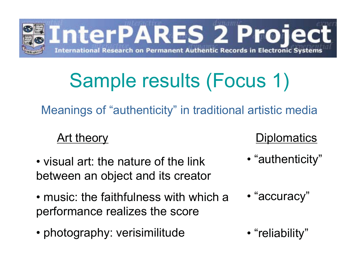

Meanings of "authenticity" in traditional artistic media

- visual art: the nature of the link between an object and its creator
- music: the faithfulness with which a performance realizes the score
- photography: verisimilitude

#### Art theory Diplomatics

- "authenticity"
- "accuracy"
- "reliability"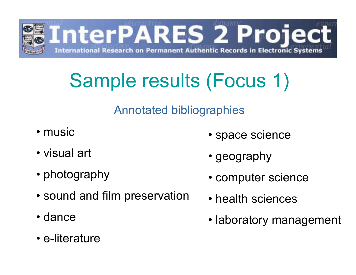

#### Annotated bibliographies

- music
- visual art
- photography
- sound and film preservation
- dance
- e-literature
- space science
- geography
- computer science
- health sciences
- laboratory management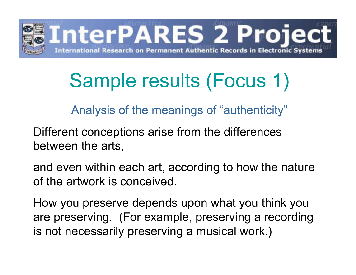

Analysis of the meanings of "authenticity"

Different conceptions arise from the differences between the arts,

and even within each art, according to how the nature of the artwork is conceived.

How you preserve depends upon what you think you are preserving. (For example, preserving a recording is not necessarily preserving a musical work.)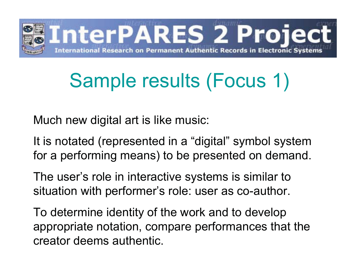

Much new digital art is like music:

It is notated (represented in a "digital" symbol system for a performing means) to be presented on demand.

The user's role in interactive systems is similar to situation with performer's role: user as co-author.

To determine identity of the work and to develop appropriate notation, compare performances that the creator deems authentic.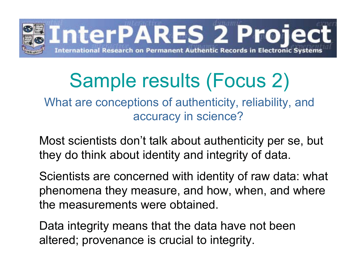

What are conceptions of authenticity, reliability, and accuracy in science?

Most scientists don't talk about authenticity per se, but they do think about identity and integrity of data.

Scientists are concerned with identity of raw data: what phenomena they measure, and how, when, and where the measurements were obtained.

Data integrity means that the data have not been altered; provenance is crucial to integrity.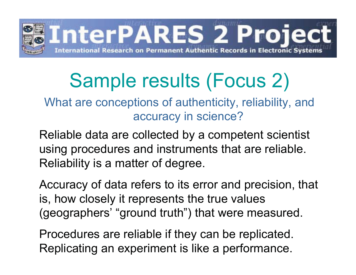

What are conceptions of authenticity, reliability, and accuracy in science?

Reliable data are collected by a competent scientist using procedures and instruments that are reliable. Reliability is a matter of degree.

Accuracy of data refers to its error and precision, that is, how closely it represents the true values (geographers' "ground truth") that were measured.

Procedures are reliable if they can be replicated. Replicating an experiment is like a performance.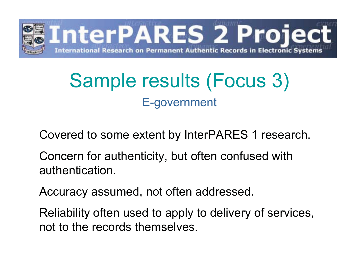

#### Sample results (Focus 3) E-government

Covered to some extent by InterPARES 1 research.

Concern for authenticity, but often confused with authentication.

Accuracy assumed, not often addressed.

Reliability often used to apply to delivery of services, not to the records themselves.